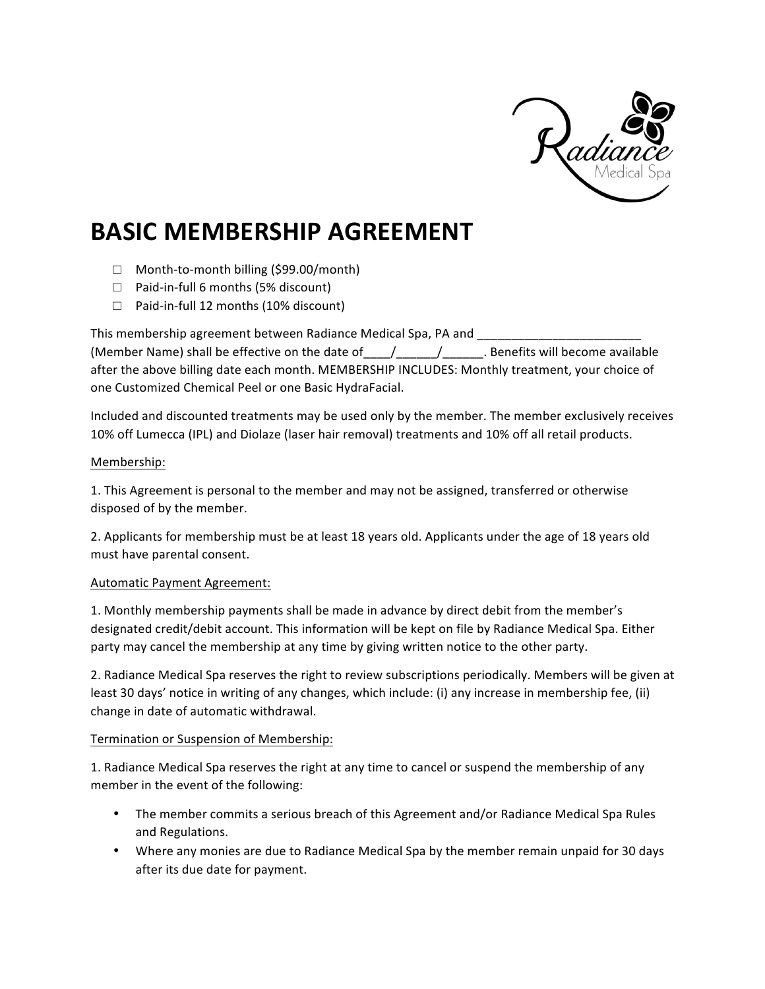

# **BASIC MEMBERSHIP AGREEMENT**

- $\Box$  Month-to-month billing (\$99.00/month)
- $\Box$  Paid-in-full 6 months (5% discount)
- $\Box$  Paid-in-full 12 months (10% discount)

This membership agreement between Radiance Medical Spa, PA and \_\_\_\_

(Member Name) shall be effective on the date of  $\mu$  /  $\mu$  . Benefits will become available after the above billing date each month. MEMBERSHIP INCLUDES: Monthly treatment, your choice of one Customized Chemical Peel or one Basic HydraFacial.

Included and discounted treatments may be used only by the member. The member exclusively receives 10% off Lumecca (IPL) and Diolaze (laser hair removal) treatments and 10% off all retail products.

#### Membership:

1. This Agreement is personal to the member and may not be assigned, transferred or otherwise disposed of by the member.

2. Applicants for membership must be at least 18 years old. Applicants under the age of 18 years old must have parental consent.

## Automatic Payment Agreement:

1. Monthly membership payments shall be made in advance by direct debit from the member's designated credit/debit account. This information will be kept on file by Radiance Medical Spa. Either party may cancel the membership at any time by giving written notice to the other party.

2. Radiance Medical Spa reserves the right to review subscriptions periodically. Members will be given at least 30 days' notice in writing of any changes, which include: (i) any increase in membership fee, (ii) change in date of automatic withdrawal.

## Termination or Suspension of Membership:

1. Radiance Medical Spa reserves the right at any time to cancel or suspend the membership of any member in the event of the following:

- The member commits a serious breach of this Agreement and/or Radiance Medical Spa Rules and Regulations.
- Where any monies are due to Radiance Medical Spa by the member remain unpaid for 30 days after its due date for payment.